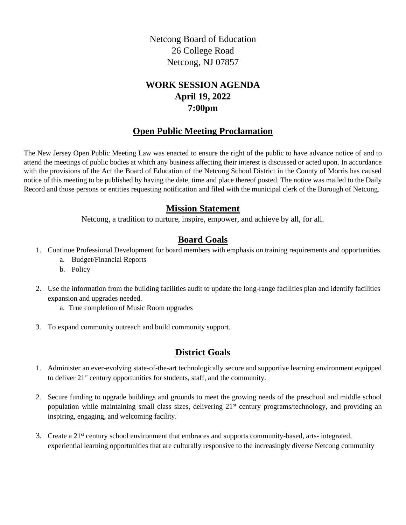Netcong Board of Education 26 College Road Netcong, NJ 07857

# **WORK SESSION AGENDA April 19, 2022 7:00pm**

### **Open Public Meeting Proclamation**

The New Jersey Open Public Meeting Law was enacted to ensure the right of the public to have advance notice of and to attend the meetings of public bodies at which any business affecting their interest is discussed or acted upon. In accordance with the provisions of the Act the Board of Education of the Netcong School District in the County of Morris has caused notice of this meeting to be published by having the date, time and place thereof posted. The notice was mailed to the Daily Record and those persons or entities requesting notification and filed with the municipal clerk of the Borough of Netcong.

### **Mission Statement**

Netcong, a tradition to nurture, inspire, empower, and achieve by all, for all.

# **Board Goals**

- 1. Continue Professional Development for board members with emphasis on training requirements and opportunities.
	- a. Budget/Financial Reports
	- b. Policy
- 2. Use the information from the building facilities audit to update the long-range facilities plan and identify facilities expansion and upgrades needed.
	- a. True completion of Music Room upgrades
- 3. To expand community outreach and build community support.

## **District Goals**

- 1. Administer an ever-evolving state-of-the-art technologically secure and supportive learning environment equipped to deliver 21st century opportunities for students, staff, and the community.
- 2. Secure funding to upgrade buildings and grounds to meet the growing needs of the preschool and middle school population while maintaining small class sizes, delivering 21<sup>st</sup> century programs/technology, and providing an inspiring, engaging, and welcoming facility.
- 3. Create a 21st century school environment that embraces and supports community-based, arts- integrated, experiential learning opportunities that are culturally responsive to the increasingly diverse Netcong community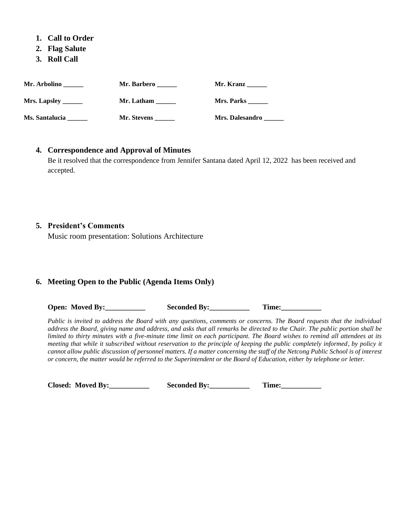- **1. Call to Order**
- **2. Flag Salute**
- **3. Roll Call**

| Mr. Arbolino               | <b>Mr. Barbero</b> | Mr. Kranz              |
|----------------------------|--------------------|------------------------|
| <b>Mrs. Lapsley</b> ______ | Mr. Latham         | Mrs. Parks             |
| Ms. Santalucia             | <b>Mr. Stevens</b> | <b>Mrs. Dalesandro</b> |

#### **4. Correspondence and Approval of Minutes**

Be it resolved that the correspondence from Jennifer Santana dated April 12, 2022 has been received and accepted.

#### **5. President's Comments**

Music room presentation: Solutions Architecture

#### **6. Meeting Open to the Public (Agenda Items Only)**

**Open:** Moved By: Seconded By: Time:

*Public is invited to address the Board with any questions, comments or concerns. The Board requests that the individual address the Board, giving name and address, and asks that all remarks be directed to the Chair. The public portion shall be limited to thirty minutes with a five-minute time limit on each participant. The Board wishes to remind all attendees at its meeting that while it subscribed without reservation to the principle of keeping the public completely informed, by policy it cannot allow public discussion of personnel matters. If a matter concerning the staff of the Netcong Public School is of interest or concern, the matter would be referred to the Superintendent or the Board of Education, either by telephone or letter.*

 **Closed: Moved By:\_\_\_\_\_\_\_\_\_\_\_ Seconded By:\_\_\_\_\_\_\_\_\_\_\_ Time:\_\_\_\_\_\_\_\_\_\_\_**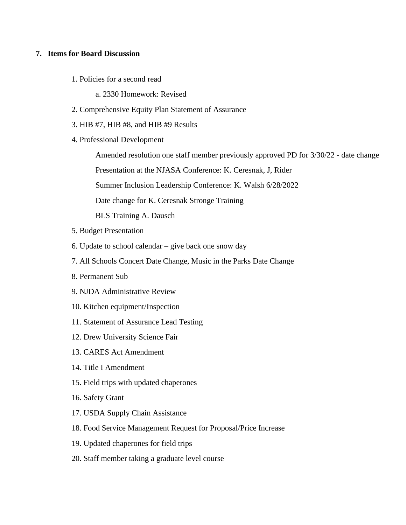#### **7. Items for Board Discussion**

- 1. Policies for a second read
	- a. 2330 Homework: Revised
- 2. Comprehensive Equity Plan Statement of Assurance
- 3. HIB #7, HIB #8, and HIB #9 Results
- 4. Professional Development

Amended resolution one staff member previously approved PD for 3/30/22 - date change

Presentation at the NJASA Conference: K. Ceresnak, J, Rider

Summer Inclusion Leadership Conference: K. Walsh 6/28/2022

Date change for K. Ceresnak Stronge Training

BLS Training A. Dausch

- 5. Budget Presentation
- 6. Update to school calendar give back one snow day
- 7. All Schools Concert Date Change, Music in the Parks Date Change
- 8. Permanent Sub
- 9. NJDA Administrative Review
- 10. Kitchen equipment/Inspection
- 11. Statement of Assurance Lead Testing
- 12. Drew University Science Fair
- 13. CARES Act Amendment
- 14. Title I Amendment
- 15. Field trips with updated chaperones
- 16. Safety Grant
- 17. USDA Supply Chain Assistance
- 18. Food Service Management Request for Proposal/Price Increase
- 19. Updated chaperones for field trips
- 20. Staff member taking a graduate level course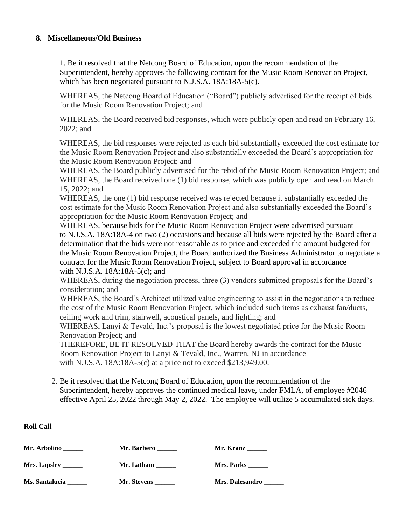#### **8. Miscellaneous/Old Business**

1. Be it resolved that the Netcong Board of Education, upon the recommendation of the Superintendent, hereby approves the following contract for the Music Room Renovation Project, which has been negotiated pursuant to N.J.S.A. 18A:18A-5(c).

WHEREAS, the Netcong Board of Education ("Board") publicly advertised for the receipt of bids for the Music Room Renovation Project; and

WHEREAS, the Board received bid responses, which were publicly open and read on February 16, 2022; and

WHEREAS, the bid responses were rejected as each bid substantially exceeded the cost estimate for the Music Room Renovation Project and also substantially exceeded the Board's appropriation for the Music Room Renovation Project; and

WHEREAS, the Board publicly advertised for the rebid of the Music Room Renovation Project; and WHEREAS, the Board received one (1) bid response, which was publicly open and read on March 15, 2022; and

WHEREAS, the one (1) bid response received was rejected because it substantially exceeded the cost estimate for the Music Room Renovation Project and also substantially exceeded the Board's appropriation for the Music Room Renovation Project; and

WHEREAS, because bids for the Music Room Renovation Project were advertised pursuant to N.J.S.A. 18A:18A-4 on two (2) occasions and because all bids were rejected by the Board after a determination that the bids were not reasonable as to price and exceeded the amount budgeted for the Music Room Renovation Project, the Board authorized the Business Administrator to negotiate a contract for the Music Room Renovation Project, subject to Board approval in accordance with N.J.S.A. 18A:18A-5(c); and

WHEREAS, during the negotiation process, three (3) vendors submitted proposals for the Board's consideration; and

WHEREAS, the Board's Architect utilized value engineering to assist in the negotiations to reduce the cost of the Music Room Renovation Project, which included such items as exhaust fan/ducts, ceiling work and trim, stairwell, acoustical panels, and lighting; and

WHEREAS, Lanyi & Tevald, Inc.'s proposal is the lowest negotiated price for the Music Room Renovation Project; and

THEREFORE, BE IT RESOLVED THAT the Board hereby awards the contract for the Music Room Renovation Project to Lanyi & Tevald, Inc., Warren, NJ in accordance with N.J.S.A. 18A:18A-5(c) at a price not to exceed \$213,949.00.

 2. Be it resolved that the Netcong Board of Education, upon the recommendation of the Superintendent, hereby approves the continued medical leave, under FMLA, of employee #2046 effective April 25, 2022 through May 2, 2022. The employee will utilize 5 accumulated sick days.

| Mr. Arbolino                | Mr. Barbero | Mr. Kranz         |
|-----------------------------|-------------|-------------------|
| <b>Mrs. Lapsley _______</b> | Mr. Latham  | <b>Mrs. Parks</b> |
| Ms. Santalucia              | Mr. Stevens | Mrs. Dalesandro   |